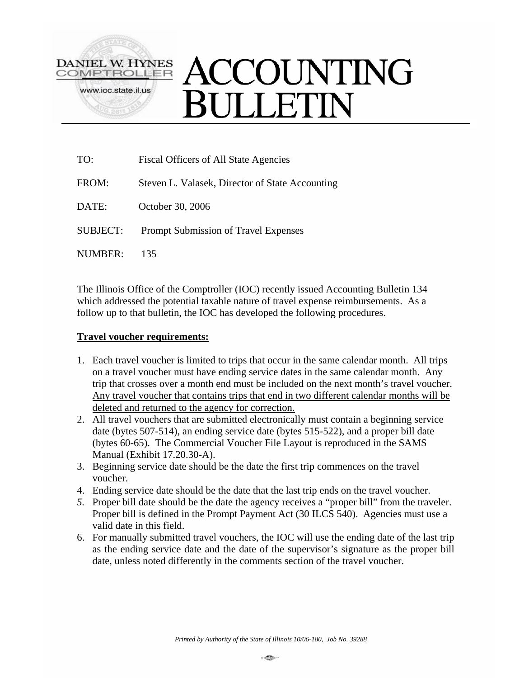

# **ACCOUNTING** ULLETIN

| TO:             | <b>Fiscal Officers of All State Agencies</b>    |  |
|-----------------|-------------------------------------------------|--|
| FROM:           | Steven L. Valasek, Director of State Accounting |  |
| DATE:           | October 30, 2006                                |  |
| <b>SUBJECT:</b> | Prompt Submission of Travel Expenses            |  |
| NUMBER:         | 135                                             |  |

The Illinois Office of the Comptroller (IOC) recently issued Accounting Bulletin 134 which addressed the potential taxable nature of travel expense reimbursements. As a follow up to that bulletin, the IOC has developed the following procedures.

## **Travel voucher requirements:**

- 1. Each travel voucher is limited to trips that occur in the same calendar month. All trips on a travel voucher must have ending service dates in the same calendar month. Any trip that crosses over a month end must be included on the next month's travel voucher. Any travel voucher that contains trips that end in two different calendar months will be deleted and returned to the agency for correction.
- 2. All travel vouchers that are submitted electronically must contain a beginning service date (bytes 507-514), an ending service date (bytes 515-522), and a proper bill date (bytes 60-65). The Commercial Voucher File Layout is reproduced in the SAMS Manual (Exhibit 17.20.30-A).
- 3. Beginning service date should be the date the first trip commences on the travel voucher.
- 4. Ending service date should be the date that the last trip ends on the travel voucher.
- *5.* Proper bill date should be the date the agency receives a "proper bill" from the traveler. Proper bill is defined in the Prompt Payment Act (30 ILCS 540). Agencies must use a valid date in this field.
- 6. For manually submitted travel vouchers, the IOC will use the ending date of the last trip as the ending service date and the date of the supervisor's signature as the proper bill date, unless noted differently in the comments section of the travel voucher.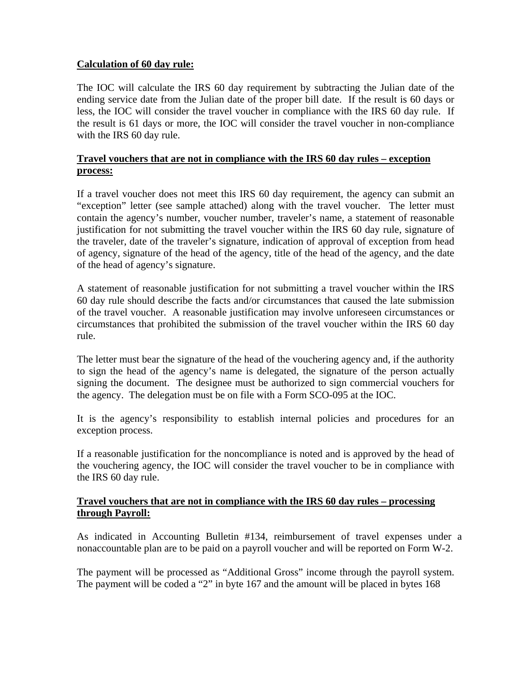## **Calculation of 60 day rule:**

The IOC will calculate the IRS 60 day requirement by subtracting the Julian date of the ending service date from the Julian date of the proper bill date. If the result is 60 days or less, the IOC will consider the travel voucher in compliance with the IRS 60 day rule. If the result is 61 days or more, the IOC will consider the travel voucher in non-compliance with the IRS 60 day rule.

# **Travel vouchers that are not in compliance with the IRS 60 day rules – exception process:**

If a travel voucher does not meet this IRS 60 day requirement, the agency can submit an "exception" letter (see sample attached) along with the travel voucher. The letter must contain the agency's number, voucher number, traveler's name, a statement of reasonable justification for not submitting the travel voucher within the IRS 60 day rule, signature of the traveler, date of the traveler's signature, indication of approval of exception from head of agency, signature of the head of the agency, title of the head of the agency, and the date of the head of agency's signature.

A statement of reasonable justification for not submitting a travel voucher within the IRS 60 day rule should describe the facts and/or circumstances that caused the late submission of the travel voucher. A reasonable justification may involve unforeseen circumstances or circumstances that prohibited the submission of the travel voucher within the IRS 60 day rule.

The letter must bear the signature of the head of the vouchering agency and, if the authority to sign the head of the agency's name is delegated, the signature of the person actually signing the document. The designee must be authorized to sign commercial vouchers for the agency. The delegation must be on file with a Form SCO-095 at the IOC.

It is the agency's responsibility to establish internal policies and procedures for an exception process.

If a reasonable justification for the noncompliance is noted and is approved by the head of the vouchering agency, the IOC will consider the travel voucher to be in compliance with the IRS 60 day rule.

### **Travel vouchers that are not in compliance with the IRS 60 day rules – processing through Payroll:**

As indicated in Accounting Bulletin #134, reimbursement of travel expenses under a nonaccountable plan are to be paid on a payroll voucher and will be reported on Form W-2.

The payment will be processed as "Additional Gross" income through the payroll system. The payment will be coded a "2" in byte 167 and the amount will be placed in bytes 168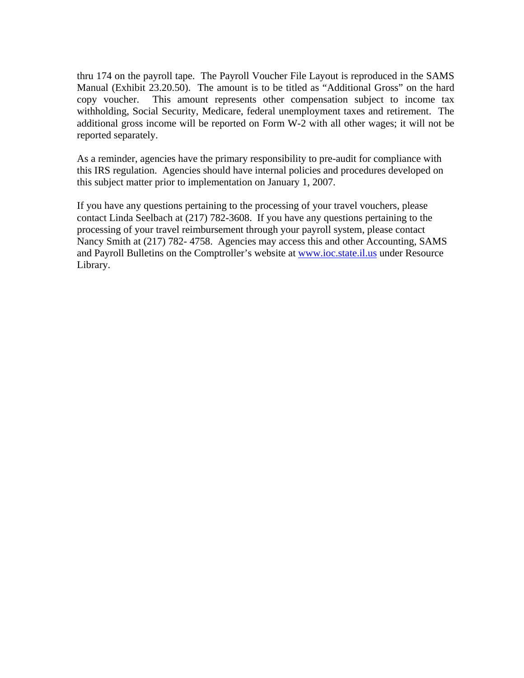thru 174 on the payroll tape. The Payroll Voucher File Layout is reproduced in the SAMS Manual (Exhibit 23.20.50). The amount is to be titled as "Additional Gross" on the hard copy voucher. This amount represents other compensation subject to income tax withholding, Social Security, Medicare, federal unemployment taxes and retirement. The additional gross income will be reported on Form W-2 with all other wages; it will not be reported separately.

As a reminder, agencies have the primary responsibility to pre-audit for compliance with this IRS regulation. Agencies should have internal policies and procedures developed on this subject matter prior to implementation on January 1, 2007.

If you have any questions pertaining to the processing of your travel vouchers, please contact Linda Seelbach at (217) 782-3608. If you have any questions pertaining to the processing of your travel reimbursement through your payroll system, please contact Nancy Smith at (217) 782- 4758. Agencies may access this and other Accounting, SAMS and Payroll Bulletins on the Comptroller's website at **www.ioc.state.il.us** under Resource Library.